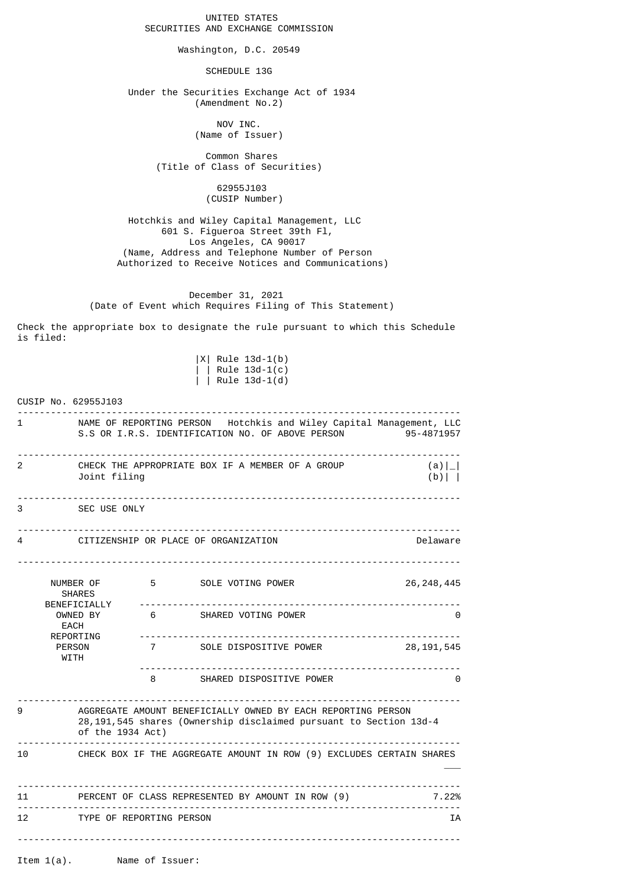UNITED STATES SECURITIES AND EXCHANGE COMMISSION

Washington, D.C. 20549

SCHEDULE 13G

 Under the Securities Exchange Act of 1934 (Amendment No.2)

> NOV INC. (Name of Issuer)

 Common Shares (Title of Class of Securities)

> 62955J103 (CUSIP Number)

 Hotchkis and Wiley Capital Management, LLC 601 S. Figueroa Street 39th Fl, Los Angeles, CA 90017 (Name, Address and Telephone Number of Person Authorized to Receive Notices and Communications)

 December 31, 2021 (Date of Event which Requires Filing of This Statement)

Check the appropriate box to designate the rule pursuant to which this Schedule is filed:

> |X| Rule 13d-1(b) | | Rule 13d-1(c) | | Rule 13d-1(d)

|              | CUSIP No. 62955J103                                                                                                                                                                                                                                                                        |                                 |                                   |                                                   |
|--------------|--------------------------------------------------------------------------------------------------------------------------------------------------------------------------------------------------------------------------------------------------------------------------------------------|---------------------------------|-----------------------------------|---------------------------------------------------|
| $\mathbf{1}$ | NAME OF REPORTING PERSON Hotchkis and Wiley Capital Management, LLC<br>S.S OR I.R.S. IDENTIFICATION NO. OF ABOVE PERSON<br>95-4871957                                                                                                                                                      |                                 |                                   |                                                   |
| 2            | CHECK THE APPROPRIATE BOX IF A MEMBER OF A GROUP<br>$(a) _{-} $<br>Joint filing<br>$(b)$                                                                                                                                                                                                   |                                 |                                   |                                                   |
| 3            | SEC USE ONLY                                                                                                                                                                                                                                                                               |                                 |                                   |                                                   |
| 4            | CITIZENSHIP OR PLACE OF ORGANIZATION                                                                                                                                                                                                                                                       |                                 |                                   | Delaware                                          |
|              | NUMBER OF<br><b>SHARES</b><br>BENEFICIALLY<br>OWNED BY<br><b>EACH</b><br>REPORTING<br><b>PERSON</b><br>WITH                                                                                                                                                                                | <u> - - - - - - - - - - -</u> . | 5 SOLE VOTING POWER               | 26, 248, 445<br>--------------------------------- |
|              |                                                                                                                                                                                                                                                                                            |                                 | 6 SHARED VOTING POWER             | 0                                                 |
|              |                                                                                                                                                                                                                                                                                            |                                 | 7          SOLE DISPOSITIVE POWER | 28, 191, 545                                      |
|              |                                                                                                                                                                                                                                                                                            |                                 | 8 SHARED DISPOSITIVE POWER        | 0                                                 |
| 9            | AGGREGATE AMOUNT BENEFICIALLY OWNED BY EACH REPORTING PERSON<br>28, 191, 545 shares (Ownership disclaimed pursuant to Section 13d-4<br>of the 1934 Act)                                                                                                                                    |                                 |                                   |                                                   |
| 10           | CHECK BOX IF THE AGGREGATE AMOUNT IN ROW (9) EXCLUDES CERTAIN SHARES                                                                                                                                                                                                                       |                                 |                                   |                                                   |
|              | $11$ and $11$ and $11$ and $11$ and $11$ and $11$ and $11$ and $11$ and $11$ and $11$ and $11$ and $11$ and $11$ and $11$ and $11$ and $11$ and $11$ and $11$ and $11$ and $11$ and $11$ and $11$ and $11$ and $11$ and $11$<br>PERCENT OF CLASS REPRESENTED BY AMOUNT IN ROW (9)<br>7.22% |                                 |                                   |                                                   |
| 12           | TYPE OF REPORTING PERSON<br>ΙA                                                                                                                                                                                                                                                             |                                 |                                   |                                                   |
|              | Ttem 1(a) Name of Issuer:                                                                                                                                                                                                                                                                  |                                 |                                   |                                                   |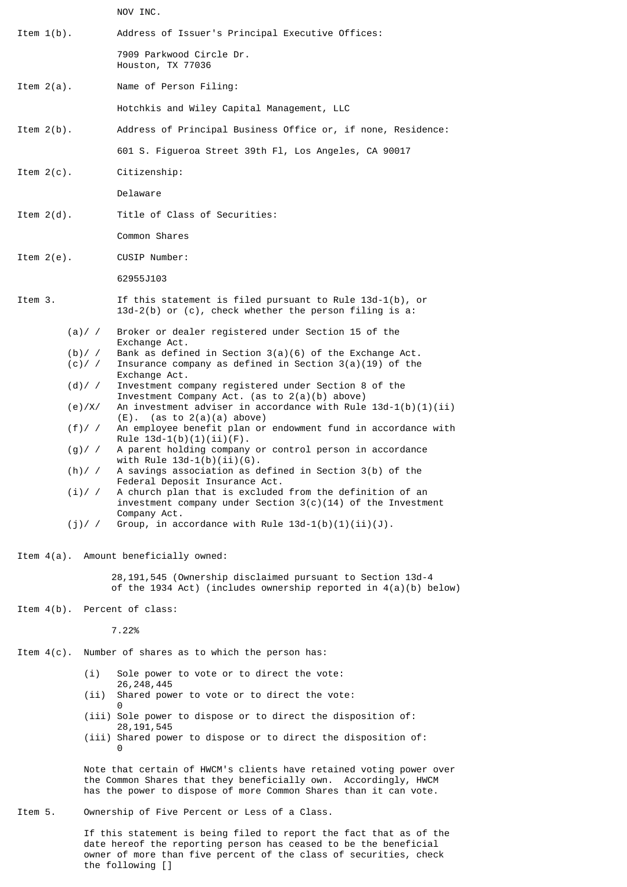NOV INC.

Item 1(b). Address of Issuer's Principal Executive Offices: 7909 Parkwood Circle Dr. Houston, TX 77036

Item 2(a). Name of Person Filing:

Hotchkis and Wiley Capital Management, LLC

- Item 2(b). Address of Principal Business Office or, if none, Residence:
	- 601 S. Figueroa Street 39th Fl, Los Angeles, CA 90017

Item 2(c). Citizenship:

Delaware

Item 2(d). Title of Class of Securities:

Common Shares

Item 2(e). CUSIP Number:

62955J103

- Item 3. If this statement is filed pursuant to Rule 13d-1(b), or 13d-2(b) or (c), check whether the person filing is a:
	- (a)/ / Broker or dealer registered under Section 15 of the
	- Exchange Act.<br>b)/ / Bank as defin (b)/ / Bank as defined in Section  $3(a)(6)$  of the Exchange Act.<br>(c)/ / Insurance company as defined in Section  $3(a)(19)$  of the Insurance company as defined in Section  $3(a)(19)$  of the Exchange Act.
	- (d)/ / Investment company registered under Section 8 of the Investment Company Act. (as to 2(a)(b) above)
	- (e)/X/ An investment adviser in accordance with Rule 13d-1(b)(1)(ii)  $(E)$ . (as to  $2(a)(a)$  above)
	- (f)/ / An employee benefit plan or endowment fund in accordance with Rule  $13d-1(b)(1)(ii)(F)$ .
	- (g)/ / A parent holding company or control person in accordance with Rule  $13d-1(b)(ii)(G)$ .

 (h)/ / A savings association as defined in Section 3(b) of the Federal Deposit Insurance Act.

- (i)/ / A church plan that is excluded from the definition of an investment company under Section 3(c)(14) of the Investment Company Act.<br>i)/ / Group, in ac
- Group, in accordance with Rule  $13d-1(b)(1)(ii)(J)$ .

Item 4(a). Amount beneficially owned:

 28,191,545 (Ownership disclaimed pursuant to Section 13d-4 of the 1934 Act) (includes ownership reported in 4(a)(b) below)

Item 4(b). Percent of class:

7.22%

Item 4(c). Number of shares as to which the person has:

- (i) Sole power to vote or to direct the vote: 26,248,445
- (ii) Shared power to vote or to direct the vote:
- <u>de la contrada de la contrada de la contrada de la contrada de la contrada de la contrada de la con</u>
	- (iii) Sole power to dispose or to direct the disposition of: 28,191,545
- (iii) Shared power to dispose or to direct the disposition of: <u>de la contrada de la contrada de la contrada de la contrada de la contrada de la contrada de la con</u>

 Note that certain of HWCM's clients have retained voting power over the Common Shares that they beneficially own. Accordingly, HWCM has the power to dispose of more Common Shares than it can vote.

Item 5. Ownership of Five Percent or Less of a Class.

 If this statement is being filed to report the fact that as of the date hereof the reporting person has ceased to be the beneficial owner of more than five percent of the class of securities, check the following []